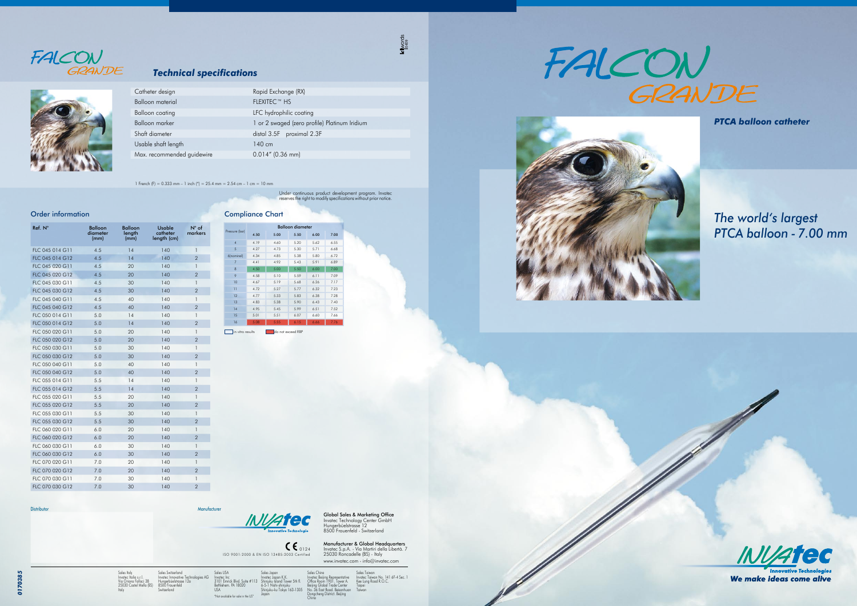ISO 9001:2000 & EN ISO 13485:2003 Certified 0124 Invatec Technology Center GmbH Hungerbüelstrasse 12 8500 Frauenfeld - Switzerland **Manufacturer & Global Headquarters**<br>Invatec S.p.A. - Via Martiri della Libertà. 7<br>25030 Roncadelle (BS) - Italy



Global Sales & Marketing Office

Sales USA Invatec Inc 3101 Emrick Blvd. Suite #113 Bethlehem. PA 18020 USA "Not available for sale in the US" Sales Japan<br>Invatec Japan K.K.<br>Shinjuku Island Tower 5th fl.<br>6-5-1 Nishi-shinjuku<br>Shinjuku-ku Tokyo 163-1305<br>Japan www.invatec.com - info@invatec.com

Sales Italy Invatec Italia s.r.l. Via Oriana Fallaci 38 25030 Castel Mella (BS) Italy

Sales Switzerland

Sales Taiwan Invatec Taiwan No. 141 6F-4 Sec. 1 Kee Lung Road R.O.C. Taipei **Taiwan** 



Hungerbüelstrasse 12a 8500 Frauenfeld Switzerland

Sales China Invatec Beijing Representative Office Room 1901. Tower A. Beijing Global Trade Center No. 36 East Road. Beisanhuan Dongcheng District. Beijing China

1 French (F) = 0.333 mm – 1 inch (") = 25.4 mm = 2.54 cm – 1 cm = 10 mm



### *Technical specifications*

Under continuous product development program. Invatec reserves the right to modify specifications without prior notice.

kilwords<br>lo409

*PTCA balloon catheter*



 $\mathscr{N}$ 

*The world's largest PTCA balloon - 7.00 mm*



We make ideas come alive

|  | Catheter design            | Rapid Exchange (RX)                           |  |  |  |
|--|----------------------------|-----------------------------------------------|--|--|--|
|  | Balloon material           | FLEXITEC™ HS                                  |  |  |  |
|  | Balloon coating            | LFC hydrophilic coating                       |  |  |  |
|  | Balloon marker             | 1 or 2 swaged (zero profile) Platinum Iridium |  |  |  |
|  | Shaft diameter             | distal 3.5F proximal 2.3F                     |  |  |  |
|  | Usable shaft length        | $140 \text{ cm}$                              |  |  |  |
|  | Max. recommended guidewire | $0.014''$ (0.36 mm)                           |  |  |  |
|  |                            |                                               |  |  |  |

#### Order information

| Ref. N°         | Balloon<br>diameter<br>(mm) | <b>Balloon</b><br>length<br>(mm) | Usable<br>catheter<br>length (cm) | $N^{\circ}$ of<br>markers |
|-----------------|-----------------------------|----------------------------------|-----------------------------------|---------------------------|
| FLC 045 014 G11 | 4.5                         | 14                               | 140                               | 1                         |
| FLC 045 014 G12 | 4.5                         | 14                               | 140                               | $\overline{2}$            |
| FLC 045 020 G11 | 4.5                         | 20                               | 140                               | $\mathbf{1}$              |
| FLC 045 020 G12 | 4.5                         | 20                               | 140                               | $\overline{2}$            |
| FLC 045 030 G11 | 4.5                         | 30                               | 140                               | $\mathbf{1}$              |
| FLC 045 030 G12 | 4.5                         | 30                               | 140                               | $\overline{2}$            |
| FLC 045 040 G11 | 4.5                         | 40                               | 140                               | 1                         |
| FLC 045 040 G12 | 4.5                         | 40                               | 140                               | $\overline{2}$            |
| FLC 050 014 G11 | 5.0                         | 14                               | 140                               | 1                         |
| FLC 050 014 G12 | 5.0                         | 14                               | 140                               | $\overline{2}$            |
| FLC 050 020 G11 | 5.0                         | 20                               | 140                               | $\mathbf{1}$              |
| FLC 050 020 G12 | 5.0                         | 20                               | 140                               | $\overline{2}$            |
| FLC 050 030 G11 | 5.0                         | 30                               | 140                               | $\mathbf{1}$              |
| FLC 050 030 G12 | 5.0                         | 30                               | 140                               | $\overline{2}$            |
| FLC 050 040 G11 | 5.0                         | 40                               | 140                               | 1                         |
| FLC 050 040 G12 | 5.0                         | 40                               | 140                               | $\overline{2}$            |
| FLC 055 014 G11 | 5.5                         | 14                               | 140                               | 1                         |
| FLC 055 014 G12 | 5.5                         | 14                               | 140                               | $\overline{2}$            |
| FLC 055 020 G11 | 5.5                         | 20                               | 140                               | 1                         |
| FLC 055 020 G12 | 5.5                         | 20                               | 140                               | $\overline{2}$            |
| FLC 055 030 G11 | 5.5                         | 30                               | 140                               | $\mathbf{I}$              |
| FLC 055 030 G12 | 5.5                         | 30                               | 140                               | $\overline{2}$            |
| FLC 060 020 G11 | 6.0                         | 20                               | 140                               | $\mathbf{1}$              |
| FLC 060 020 G12 | 6.0                         | 20                               | 140                               | $\overline{2}$            |
| FLC 060 030 G11 | 6.0                         | 30                               | 140                               | 1                         |
| FLC 060 030 G12 | 6.0                         | 30                               | 140                               | $\overline{2}$            |
| FLC 070 020 G11 | 7.0                         | 20                               | 140                               | 1                         |
| FLC 070 020 G12 | 7.0                         | 20                               | 140                               | $\overline{2}$            |
| FLC 070 030 G11 | 7.0                         | 30                               | 140                               | 1                         |
| FLC 070 030 G12 | 7.0                         | 30                               | 140                               | $\overline{2}$            |

|  | Pressure (bar)   | <b>Balloon diameter</b> |                   |      |      |      |  |
|--|------------------|-------------------------|-------------------|------|------|------|--|
|  |                  | 4.50                    | 5.00              | 5.50 | 6.00 | 7.00 |  |
|  | $\overline{4}$   | 4.19                    | 4.60              | 5.20 | 5.62 | 6.55 |  |
|  | 5                | 4.27                    | 4.73              | 5.30 | 5.71 | 6.68 |  |
|  | 6(nominal)       | 4.34                    | 4.85              | 5.38 | 5.80 | 6.72 |  |
|  | $\overline{7}$   | 4.41                    | 4.92              | 5.43 | 5.91 | 6.89 |  |
|  | 8                | 4.50                    | 5.00              | 5.50 | 6.00 | 7.00 |  |
|  | 9                | 4.58                    | 5.10              | 5.59 | 6.11 | 7.09 |  |
|  | 10               | 4.67                    | 5.19              | 5.68 | 6.26 | 7.17 |  |
|  | 11               | 4.72                    | 5.27              | 5.77 | 6.32 | 7.23 |  |
|  | 12               | 4.77                    | 5.33              | 5.83 | 6.38 | 7.28 |  |
|  | 13               | 4.83                    | 5.38              | 5.90 | 6.43 | 7.40 |  |
|  | 14               | 4.95                    | 5.45              | 5.99 | 6.51 | 7.52 |  |
|  | 15               | 5.01                    | 5.51              | 6.07 | 6.60 | 7.66 |  |
|  | 16               | 5.08                    | 5.55              | 6.15 | 6.66 | 7.76 |  |
|  | in vitro results |                         | do not exceed RBP |      |      |      |  |



Distributor Manufacturer Manufacturer Manufacturer Manufacturer Manufacturer

ogies AG



Compliance Chart